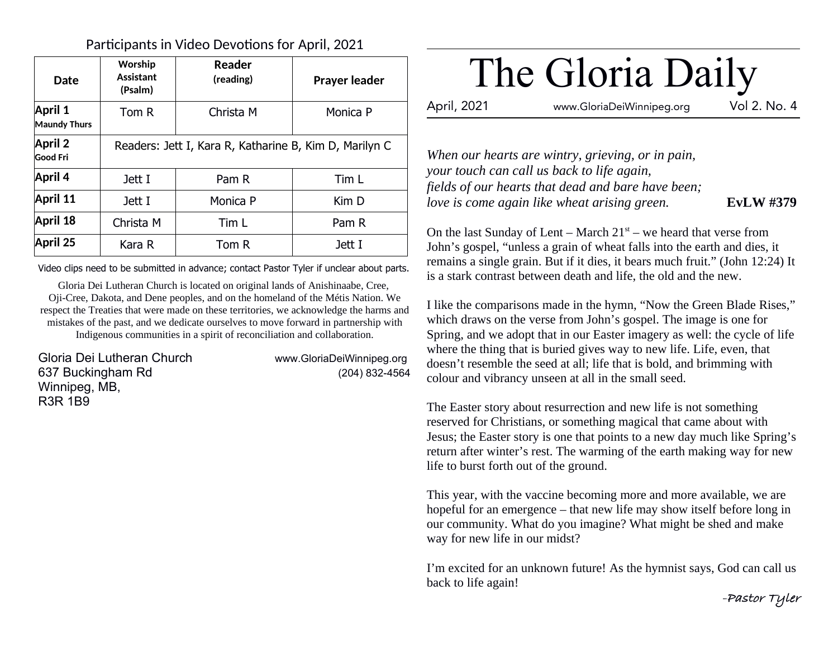### Participants in Video Devotions for April, 2021

| Date                                  | Worship<br><b>Assistant</b><br>(Psalm)                 | Reader<br>(reading) | <b>Prayer leader</b> |
|---------------------------------------|--------------------------------------------------------|---------------------|----------------------|
| <b>April 1</b><br><b>Maundy Thurs</b> | Tom R                                                  | Christa M           | Monica P             |
| <b>April 2</b><br><b>Good Fri</b>     | Readers: Jett I, Kara R, Katharine B, Kim D, Marilyn C |                     |                      |
| April 4                               | Jett I                                                 | Pam R               | Tim L                |
| April 11                              | Jett I                                                 | Monica P            | Kim D                |
| April 18                              | Christa M                                              | Tim L               | Pam R                |
| April 25                              | Kara R                                                 | Tom R               | Jett I               |

Video clips need to be submitted in advance; contact Pastor Tyler if unclear about parts.

Gloria Dei Lutheran Church is located on original lands of Anishinaabe, Cree, Oji-Cree, Dakota, and Dene peoples, and on the homeland of the Métis Nation. We respect the Treaties that were made on these territories, we acknowledge the harms and mistakes of the past, and we dedicate ourselves to move forward in partnership with Indigenous communities in a spirit of reconciliation and collaboration.

Gloria Dei Lutheran Church www.GloriaDeiWinnipeg.org 637 Buckingham Rd (204) 832-4564 Winnipeg, MB, R3R 1B9

# The Gloria Daily

April, 2021 www.GloriaDeiWinnipeg.org Vol 2. No. 4

*When our hearts are wintry, grieving, or in pain, your touch can call us back to life again, fields of our hearts that dead and bare have been; love is come again like wheat arising green.* **EvLW #379** 

On the last Sunday of Lent – March  $21<sup>st</sup>$  – we heard that verse from John's gospel, "unless a grain of wheat falls into the earth and dies, it remains a single grain. But if it dies, it bears much fruit." (John 12:24) It is a stark contrast between death and life, the old and the new.

I like the comparisons made in the hymn, "Now the Green Blade Rises," which draws on the verse from John's gospel. The image is one for Spring, and we adopt that in our Easter imagery as well: the cycle of life where the thing that is buried gives way to new life. Life, even, that doesn't resemble the seed at all; life that is bold, and brimming with colour and vibrancy unseen at all in the small seed.

The Easter story about resurrection and new life is not something reserved for Christians, or something magical that came about with Jesus; the Easter story is one that points to a new day much like Spring's return after winter's rest. The warming of the earth making way for new life to burst forth out of the ground.

This year, with the vaccine becoming more and more available, we are hopeful for an emergence – that new life may show itself before long in our community. What do you imagine? What might be shed and make way for new life in our midst?

I'm excited for an unknown future! As the hymnist says, God can call us back to life again!

**-Pastor Tyler**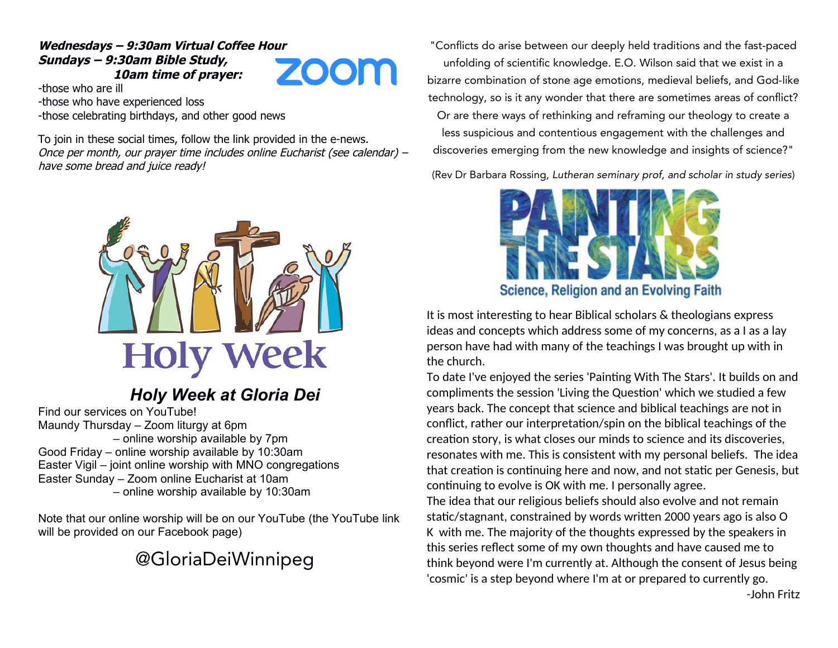#### **Wednesdays – 9:30am Virtual Coffee Hour Sundays – 9:30am Bible Study, 10am time of prayer:**

ZOOM

-those who are ill -those who have experienced loss -those celebrating birthdays, and other good news

To join in these social times, follow the link provided in the e-news. Once per month, our prayer time includes online Eucharist (see calendar) – have some bread and juice ready!



# *Holy Week at Gloria Dei*

Find our services on YouTube! Maundy Thursday – Zoom liturgy at 6pm – online worship available by 7pm Good Friday – online worship available by 10:30am Easter Vigil – joint online worship with MNO congregations Easter Sunday – Zoom online Eucharist at 10am – online worship available by 10:30am

Note that our online worship will be on our YouTube (the YouTube link will be provided on our Facebook page)

# @GloriaDeiWinnipeg

"Conflicts do arise between our deeply held traditions and the fast-paced unfolding of scientific knowledge. E.O. Wilson said that we exist in a bizarre combination of stone age emotions, medieval beliefs, and God-like technology, so is it any wonder that there are sometimes areas of conflict? Or are there ways of rethinking and reframing our theology to create a less suspicious and contentious engagement with the challenges and discoveries emerging from the new knowledge and insights of science?"

(Rev Dr Barbara Rossing, Lutheran seminary prof, and scholar in study series)



It is most interesting to hear Biblical scholars & theologians express ideas and concepts which address some of my concerns, as a I as a lay person have had with many of the teachings I was brought up with in the church.

To date I've enjoyed the series 'Painting With The Stars'. It builds on and compliments the session 'Living the Question' which we studied a few years back. The concept that science and biblical teachings are not in conflict, rather our interpretation/spin on the biblical teachings of the creation story, is what closes our minds to science and its discoveries, resonates with me. This is consistent with my personal beliefs. The idea that creation is continuing here and now, and not static per Genesis, but continuing to evolve is OK with me. I personally agree.

The idea that our religious beliefs should also evolve and not remain static/stagnant, constrained by words written 2000 years ago is also O K with me. The majority of the thoughts expressed by the speakers in this series reflect some of my own thoughts and have caused me to think beyond were I'm currently at. Although the consent of Jesus being 'cosmic' is a step beyond where I'm at or prepared to currently go.

-John Fritz